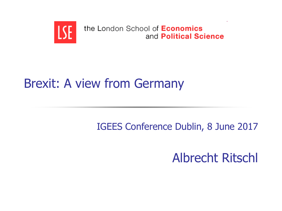

the London School of **Economics** and Political Science

## Brexit: A view from Germany

#### IGEES Conference Dublin, 8 June 2017

Albrecht Ritschl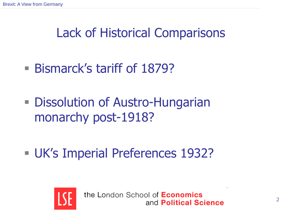## Lack of Historical Comparisons

- Bismarck's tariff of 1879?
- **Dissolution of Austro-Hungarian** monarchy post-1918?

UK's Imperial Preferences 1932?

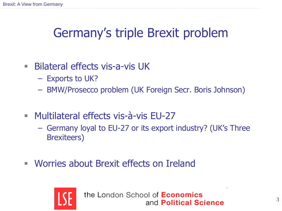## Germany's triple Brexit problem

#### **Bilateral effects vis-a-vis UK**

- Exports to UK?
- BMW/Prosecco problem (UK Foreign Secr. Boris Johnson)
- Multilateral effects vis-à-vis EU-27
	- Germany loyal to EU-27 or its export industry? (UK's Three Brexiteers)
- **Worries about Brexit effects on Ireland**

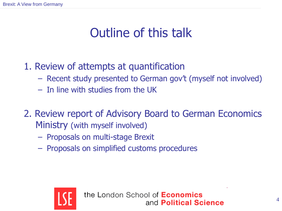## Outline of this talk

- 1. Review of attempts at quantification
	- Recent study presented to German gov't (myself not involved)
	- In line with studies from the UK
- 2. Review report of Advisory Board to German Economics Ministry (with myself involved)
	- Proposals on multi-stage Brexit
	- Proposals on simplified customs procedures



the London School of Economics and Political Science

4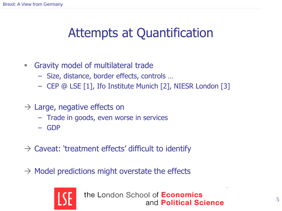## Attempts at Quantification

- Gravity model of multilateral trade
	- Size, distance, border effects, controls …
	- CEP @ LSE [1], Ifo Institute Munich [2], NIESR London [3]
- $\rightarrow$  Large, negative effects on
	- Trade in goods, even worse in services
	- GDP
- $\rightarrow$  Caveat: 'treatment effects' difficult to identify
- $\rightarrow$  Model predictions might overstate the effects

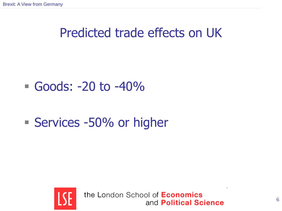## Predicted trade effects on UK

#### Goods:  $-20$  to  $-40\%$

**Services -50% or higher** 

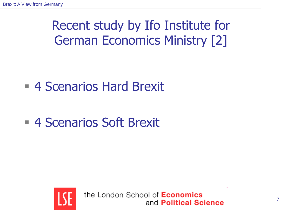# Recent study by Ifo Institute for German Economics Ministry [2]

## 4 Scenarios Hard Brexit

## ■ 4 Scenarios Soft Brexit

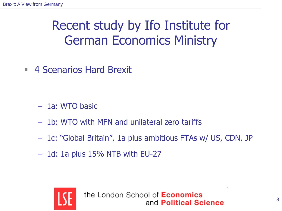# Recent study by Ifo Institute for German Economics Ministry

**4 Scenarios Hard Brexit** 

- 1a: WTO basic
- 1b: WTO with MFN and unilateral zero tariffs
- 1c: "Global Britain", 1a plus ambitious FTAs w/ US, CDN, JP
- 1d: 1a plus 15% NTB with EU-27

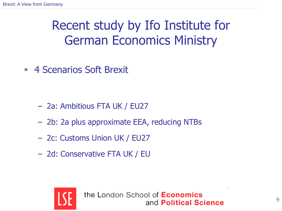## Recent study by Ifo Institute for German Economics Ministry

**4 Scenarios Soft Brexit** 

- 2a: Ambitious FTA UK / EU27
- 2b: 2a plus approximate EEA, reducing NTBs
- 2c: Customs Union UK / EU27
- 2d: Conservative FTA UK / EU

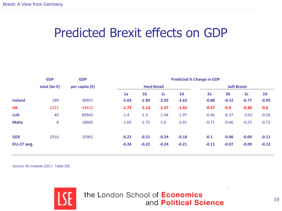#### Predicted Brexit effects on GDP

|                   | <b>GDP</b>             | <b>GDP</b>              | <b>Predicted % Change in GDP</b> |                |                |                |                    |                |         |         |  |
|-------------------|------------------------|-------------------------|----------------------------------|----------------|----------------|----------------|--------------------|----------------|---------|---------|--|
|                   | total (bn $\epsilon$ ) | per capita $(\epsilon)$ | <b>Hard Brexit</b>               |                |                |                | <b>Soft Brexit</b> |                |         |         |  |
|                   |                        |                         | 1a                               | 1 <sub>b</sub> | 1 <sub>c</sub> | 1 <sub>d</sub> | 2a                 | 2 <sub>b</sub> | 2c      | 2d      |  |
| <b>Ireland</b>    | 189                    | 40957                   | $-2.03$                          | $-1.89$        | $-2.03$        | $-1.63$        | $-0.88$            | $-0.52$        | $-0.77$ | $-0.95$ |  |
| <b>UK</b>         | 2221                   | 34422                   | $-1.73$                          | $-1.13$        | $-1.47$        | $-1.65$        | $-0.57$            | $-0.4$         | $-0.36$ | $-0.6$  |  |
| <b>LUX</b>        | 49                     | 89942                   | $-1.4$                           | $-1.3$         | $-1.44$        | $-1.97$        | $-0.46$            | $-0.37$        | 0.02    | $-0.56$ |  |
| <b>Malta</b>      | 8                      | 18605                   | $-1.65$                          | $-1.72$        | $-1.6$         | $-2.91$        | $-0.71$            | $-0.46$        | $-0.23$ | $-0.72$ |  |
|                   |                        |                         |                                  |                |                |                |                    |                |         |         |  |
| <b>GER</b>        | 2916                   | 35961                   | $-0.23$                          | $-0.21$        | $-0.24$        | $-0.18$        | $-0.1$             | $-0.06$        | $-0.09$ | $-0.11$ |  |
| <b>EU-27 avg.</b> |                        |                         | $-0.26$                          | $-0.22$        | $-0.24$        | $-0.21$        | $-0.11$            | $-0.07$        | $-0.09$ | $-0.12$ |  |
|                   |                        |                         |                                  |                |                |                |                    |                |         |         |  |

Source: Ifo Institute (2017, Table 20).

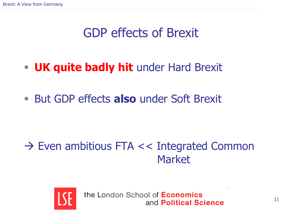## GDP effects of Brexit

#### **UK quite badly hit** under Hard Brexit

But GDP effects **also** under Soft Brexit

#### → Even ambitious FTA << Integrated Common Market

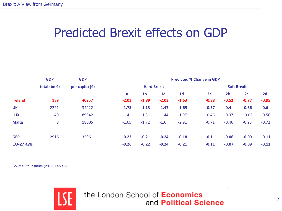#### Predicted Brexit effects on GDP

|                   | <b>GDP</b>             | <b>GDP</b>              | <b>Predicted % Change in GDP</b> |                |                |                |                    |                |         |         |  |
|-------------------|------------------------|-------------------------|----------------------------------|----------------|----------------|----------------|--------------------|----------------|---------|---------|--|
|                   | total (bn $\epsilon$ ) | per capita $(\epsilon)$ | <b>Hard Brexit</b>               |                |                |                | <b>Soft Brexit</b> |                |         |         |  |
|                   |                        |                         | 1a                               | 1 <sub>b</sub> | 1 <sub>c</sub> | 1 <sub>d</sub> | 2a                 | 2 <sub>b</sub> | 2c      | 2d      |  |
| <b>Ireland</b>    | 189                    | 40957                   | $-2.03$                          | $-1.89$        | $-2.03$        | $-1.63$        | $-0.88$            | $-0.52$        | $-0.77$ | $-0.95$ |  |
| <b>UK</b>         | 2221                   | 34422                   | $-1.73$                          | $-1.13$        | $-1.47$        | $-1.65$        | $-0.57$            | $-0.4$         | $-0.36$ | $-0.6$  |  |
| <b>LUX</b>        | 49                     | 89942                   | $-1.4$                           | $-1.3$         | $-1.44$        | $-1.97$        | $-0.46$            | $-0.37$        | 0.02    | $-0.56$ |  |
| <b>Malta</b>      | 8                      | 18605                   | $-1.65$                          | $-1.72$        | $-1.6$         | $-2.91$        | $-0.71$            | $-0.46$        | $-0.23$ | $-0.72$ |  |
|                   |                        |                         |                                  |                |                |                |                    |                |         |         |  |
| <b>GER</b>        | 2916                   | 35961                   | $-0.23$                          | $-0.21$        | $-0.24$        | $-0.18$        | $-0.1$             | $-0.06$        | $-0.09$ | $-0.11$ |  |
| <b>EU-27 avg.</b> |                        |                         | $-0.26$                          | $-0.22$        | $-0.24$        | $-0.21$        | $-0.11$            | $-0.07$        | $-0.09$ | $-0.12$ |  |
|                   |                        |                         |                                  |                |                |                |                    |                |         |         |  |

Source: Ifo Institute (2017, Table 20).

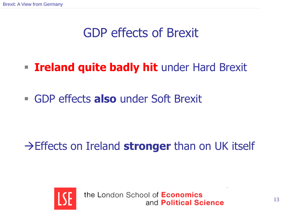## GDP effects of Brexit

- **Ireland quite badly hit** under Hard Brexit
- GDP effects **also** under Soft Brexit

 $\rightarrow$  Effects on Ireland **stronger** than on UK itself

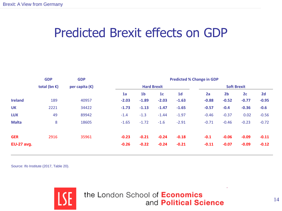#### Predicted Brexit effects on GDP

|                   | <b>GDP</b>             | <b>GDP</b>              | <b>Predicted % Change in GDP</b> |                |                |                |                    |                |         |         |  |
|-------------------|------------------------|-------------------------|----------------------------------|----------------|----------------|----------------|--------------------|----------------|---------|---------|--|
|                   | total (bn $\epsilon$ ) | per capita $(\epsilon)$ | <b>Hard Brexit</b>               |                |                |                | <b>Soft Brexit</b> |                |         |         |  |
|                   |                        |                         | 1a                               | 1 <sub>b</sub> | 1 <sub>c</sub> | 1 <sub>d</sub> | 2a                 | 2 <sub>b</sub> | 2c      | 2d      |  |
| <b>Ireland</b>    | 189                    | 40957                   | $-2.03$                          | $-1.89$        | $-2.03$        | $-1.63$        | $-0.88$            | $-0.52$        | $-0.77$ | $-0.95$ |  |
| <b>UK</b>         | 2221                   | 34422                   | $-1.73$                          | $-1.13$        | $-1.47$        | $-1.65$        | $-0.57$            | $-0.4$         | $-0.36$ | $-0.6$  |  |
| <b>LUX</b>        | 49                     | 89942                   | $-1.4$                           | $-1.3$         | $-1.44$        | $-1.97$        | $-0.46$            | $-0.37$        | 0.02    | $-0.56$ |  |
| <b>Malta</b>      | 8                      | 18605                   | $-1.65$                          | $-1.72$        | $-1.6$         | $-2.91$        | $-0.71$            | $-0.46$        | $-0.23$ | $-0.72$ |  |
|                   |                        |                         |                                  |                |                |                |                    |                |         |         |  |
| <b>GER</b>        | 2916                   | 35961                   | $-0.23$                          | $-0.21$        | $-0.24$        | $-0.18$        | $-0.1$             | $-0.06$        | $-0.09$ | $-0.11$ |  |
| <b>EU-27 avg.</b> |                        |                         | $-0.26$                          | $-0.22$        | $-0.24$        | $-0.21$        | $-0.11$            | $-0.07$        | $-0.09$ | $-0.12$ |  |
|                   |                        |                         |                                  |                |                |                |                    |                |         |         |  |

Source: Ifo Institute (2017, Table 20).

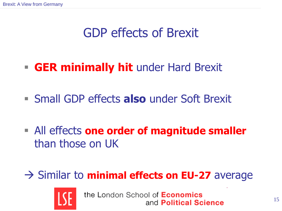## GDP effects of Brexit

- **GER minimally hit** under Hard Brexit
- Small GDP effects **also** under Soft Brexit
- All effects **one order of magnitude smaller** than those on UK

#### $\rightarrow$  Similar to **minimal effects on EU-27** average

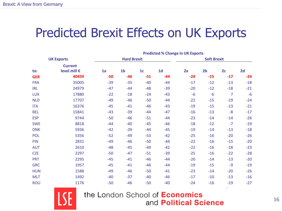## Predicted Brexit Effects on UK Exports

|            |                   | <b>Predicted % Change in UK Exports</b> |                    |                |                |                    |                |                |       |  |
|------------|-------------------|-----------------------------------------|--------------------|----------------|----------------|--------------------|----------------|----------------|-------|--|
|            | <b>UK Exports</b> |                                         | <b>Hard Brexit</b> |                |                | <b>Soft Brexit</b> |                |                |       |  |
|            | <b>Current</b>    |                                         |                    |                |                |                    |                |                |       |  |
| to:        | level mill €      | 1a                                      | 1 <sub>b</sub>     | 1 <sub>c</sub> | 1 <sub>d</sub> | 2a                 | 2 <sub>b</sub> | 2c             | 2d    |  |
| <b>GER</b> | 40459             | $-50$                                   | $-46$              | $-51$          | $-44$          | $-24$              | $-15$          | $-17$          | $-24$ |  |
| <b>FRA</b> | 35005             | $-39$                                   | $-35$              | $-40$          | $-44$          | $-17$              | $-12$          | $-13$          | $-18$ |  |
| <b>IRL</b> | 24979             | $-47$                                   | $-44$              | $-48$          | $-39$          | $-20$              | $-12$          | $-18$          | $-21$ |  |
| <b>LUX</b> | 17880             | $-22$                                   | $-18$              | $-24$          | $-43$          | $-6$               | $-6$           | $\overline{7}$ | $-6$  |  |
| <b>NLD</b> | 17707             | $-49$                                   | $-46$              | $-50$          | $-44$          | $-22$              | $-15$          | $-19$          | $-24$ |  |
| <b>ITA</b> | 16376             | $-45$                                   | $-41$              | $-46$          | $-43$          | $-19$              | $-15$          | $-13$          | $-21$ |  |
| <b>BEL</b> | 15841             | $-43$                                   | $-39$              | $-44$          | $-47$          | $-16$              | $-13$          | $-8$           | $-17$ |  |
| <b>ESP</b> | 9744              | $-50$                                   | $-46$              | $-51$          | $-44$          | $-23$              | $-14$          | $-14$          | $-26$ |  |
| <b>SWE</b> | 8818              | $-44$                                   | $-40$              | $-45$          | $-46$          | $-18$              | $-12$          | $-7$           | $-19$ |  |
| <b>DNK</b> | 5936              | $-42$                                   | $-39$              | $-44$          | $-45$          | $-19$              | $-14$          | $-13$          | $-18$ |  |
| <b>POL</b> | 5356              | $-52$                                   | $-49$              | $-53$          | $-42$          | $-25$              | $-16$          | $-20$          | $-26$ |  |
| <b>FIN</b> | 2831              | $-49$                                   | $-46$              | $-50$          | $-44$          | $-22$              | $-16$          | $-15$          | $-20$ |  |
| <b>AUT</b> | 2610              | $-48$                                   | $-45$              | $-49$          | $-42$          | $-22$              | $-16$          | $-18$          | $-23$ |  |
| <b>CZE</b> | 2297              | $-50$                                   | $-47$              | $-51$          | $-39$          | $-25$              | $-16$          | $-22$          | $-28$ |  |
| <b>PRT</b> | 2295              | $-45$                                   | $-41$              | $-46$          | $-44$          | $-20$              | $-14$          | $-13$          | $-20$ |  |
| <b>GRC</b> | 1957              | $-45$                                   | $-41$              | $-46$          | $-44$          | $-19$              | $-15$          | $-9$           | $-19$ |  |
| <b>HUN</b> | 1588              | $-49$                                   | $-46$              | $-50$          | $-41$          | $-23$              | $-14$          | $-20$          | $-26$ |  |
| <b>MLT</b> | 1492              | $-40$                                   | $-37$              | $-40$          | $-46$          | $-17$              | $-10$          | $-13$          | $-16$ |  |
| <b>ROU</b> | 1176              | $-50$                                   | $-46$              | $-50$          | $-40$          | $-24$              | $-16$          | $-19$          | $-27$ |  |

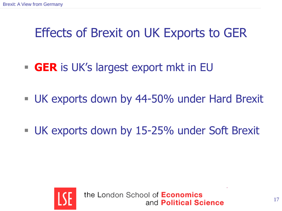## Effects of Brexit on UK Exports to GER

- **GER** is UK's largest export mkt in EU
- UK exports down by 44-50% under Hard Brexit
- UK exports down by 15-25% under Soft Brexit

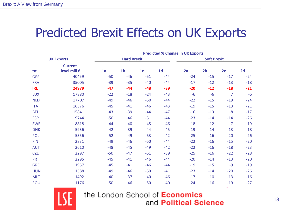## Predicted Brexit Effects on UK Exports

|            |                   | <b>Predicted % Change in UK Exports</b> |                    |                |                |                    |                |                |       |  |
|------------|-------------------|-----------------------------------------|--------------------|----------------|----------------|--------------------|----------------|----------------|-------|--|
|            | <b>UK Exports</b> |                                         | <b>Hard Brexit</b> |                |                | <b>Soft Brexit</b> |                |                |       |  |
|            | <b>Current</b>    |                                         |                    |                |                |                    |                |                |       |  |
| to:        | level mill €      | 1a                                      | 1 <sub>b</sub>     | 1 <sub>c</sub> | 1 <sub>d</sub> | 2a                 | 2 <sub>b</sub> | 2c             | 2d    |  |
| <b>GER</b> | 40459             | $-50$                                   | $-46$              | $-51$          | $-44$          | $-24$              | $-15$          | $-17$          | $-24$ |  |
| <b>FRA</b> | 35005             | $-39$                                   | $-35$              | $-40$          | $-44$          | $-17$              | $-12$          | $-13$          | $-18$ |  |
| <b>IRL</b> | 24979             | $-47$                                   | $-44$              | $-48$          | $-39$          | $-20$              | $-12$          | $-18$          | $-21$ |  |
| <b>LUX</b> | 17880             | $-22$                                   | $-18$              | $-24$          | $-43$          | $-6$               | $-6$           | $\overline{7}$ | $-6$  |  |
| <b>NLD</b> | 17707             | $-49$                                   | $-46$              | $-50$          | $-44$          | $-22$              | $-15$          | $-19$          | $-24$ |  |
| <b>ITA</b> | 16376             | $-45$                                   | $-41$              | $-46$          | $-43$          | $-19$              | $-15$          | $-13$          | $-21$ |  |
| <b>BEL</b> | 15841             | $-43$                                   | $-39$              | $-44$          | $-47$          | $-16$              | $-13$          | $-8$           | $-17$ |  |
| <b>ESP</b> | 9744              | $-50$                                   | $-46$              | $-51$          | $-44$          | $-23$              | $-14$          | $-14$          | $-26$ |  |
| <b>SWE</b> | 8818              | $-44$                                   | $-40$              | $-45$          | $-46$          | $-18$              | $-12$          | $-7$           | $-19$ |  |
| <b>DNK</b> | 5936              | $-42$                                   | $-39$              | $-44$          | $-45$          | $-19$              | $-14$          | $-13$          | $-18$ |  |
| <b>POL</b> | 5356              | $-52$                                   | $-49$              | $-53$          | $-42$          | $-25$              | $-16$          | $-20$          | $-26$ |  |
| <b>FIN</b> | 2831              | $-49$                                   | $-46$              | $-50$          | $-44$          | $-22$              | $-16$          | $-15$          | $-20$ |  |
| <b>AUT</b> | 2610              | $-48$                                   | $-45$              | $-49$          | $-42$          | $-22$              | $-16$          | $-18$          | $-23$ |  |
| <b>CZE</b> | 2297              | $-50$                                   | $-47$              | $-51$          | $-39$          | $-25$              | $-16$          | $-22$          | $-28$ |  |
| <b>PRT</b> | 2295              | $-45$                                   | $-41$              | $-46$          | $-44$          | $-20$              | $-14$          | $-13$          | $-20$ |  |
| <b>GRC</b> | 1957              | $-45$                                   | $-41$              | $-46$          | $-44$          | $-19$              | $-15$          | $-9$           | $-19$ |  |
| <b>HUN</b> | 1588              | $-49$                                   | $-46$              | $-50$          | $-41$          | $-23$              | $-14$          | $-20$          | $-26$ |  |
| <b>MLT</b> | 1492              | $-40$                                   | $-37$              | $-40$          | $-46$          | $-17$              | $-10$          | $-13$          | $-16$ |  |
| <b>ROU</b> | 1176              | $-50$                                   | $-46$              | $-50$          | $-40$          | $-24$              | $-16$          | $-19$          | $-27$ |  |

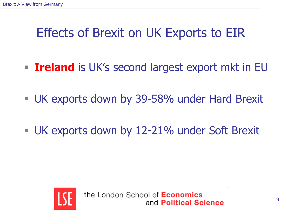## Effects of Brexit on UK Exports to EIR

- **Ireland** is UK's second largest export mkt in EU
- UK exports down by 39-58% under Hard Brexit
- UK exports down by 12-21% under Soft Brexit

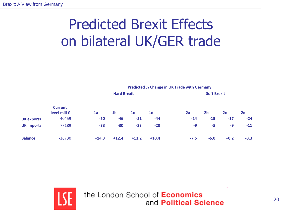# Predicted Brexit Effects on bilateral UK/GER trade

|                   |                                         | <b>Predicted % Change in UK Trade with Germany</b> |                    |                |                |                    |                |        |        |  |  |
|-------------------|-----------------------------------------|----------------------------------------------------|--------------------|----------------|----------------|--------------------|----------------|--------|--------|--|--|
|                   | <b>Current</b><br>level mill $\epsilon$ |                                                    | <b>Hard Brexit</b> |                |                | <b>Soft Brexit</b> |                |        |        |  |  |
|                   |                                         | 1a                                                 | 1 <sub>b</sub>     | 1 <sub>c</sub> | 1 <sub>d</sub> | 2a                 | 2 <sub>b</sub> | 2c     | 2d     |  |  |
| <b>UK exports</b> | 40459                                   | $-50$                                              | $-46$              | $-51$          | $-44$          | $-24$              | $-15$          | $-17$  | $-24$  |  |  |
| <b>UK imports</b> | 77189                                   | $-33$                                              | $-30$              | $-33$          | $-28$          | -9                 | -5             | -9     | $-11$  |  |  |
| <b>Balance</b>    | $-36730$                                | $+14.3$                                            | $+12.4$            | $+13.2$        | $+10.4$        | $-7.5$             | $-6.0$         | $+0.2$ | $-3.3$ |  |  |

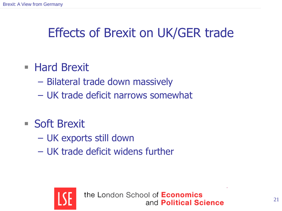## Effects of Brexit on UK/GER trade

#### **Hard Brexit**

- Bilateral trade down massively
- UK trade deficit narrows somewhat
- **Soft Brexit** 
	- UK exports still down
	- UK trade deficit widens further

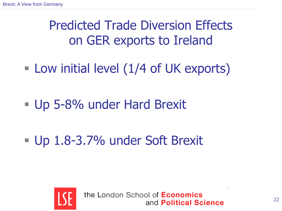## Predicted Trade Diversion Effects on GER exports to Ireland

- **Low initial level (1/4 of UK exports)**
- Up 5-8% under Hard Brexit

Up 1.8-3.7% under Soft Brexit

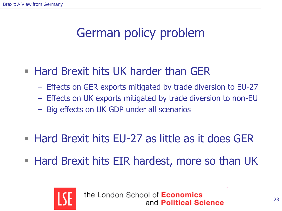# German policy problem

#### **Hard Brexit hits UK harder than GER**

- Effects on GER exports mitigated by trade diversion to EU-27
- Effects on UK exports mitigated by trade diversion to non-EU
- Big effects on UK GDP under all scenarios
- **Hard Brexit hits EU-27 as little as it does GER**
- **Hard Brexit hits EIR hardest, more so than UK**

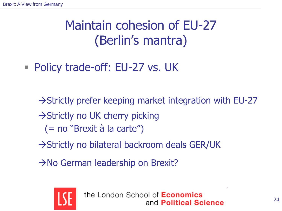# Maintain cohesion of EU-27 (Berlin's mantra)

■ Policy trade-off: EU-27 vs. UK

 $\rightarrow$  Strictly prefer keeping market integration with EU-27  $\rightarrow$  Strictly no UK cherry picking (= no "Brexit à la carte")  $\rightarrow$  Strictly no bilateral backroom deals GER/UK

 $\rightarrow$ No German leadership on Brexit?

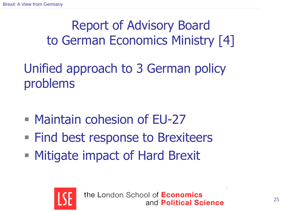# Report of Advisory Board to German Economics Ministry [4]

Unified approach to 3 German policy problems

- Maintain cohesion of EU-27
- **Find best response to Brexiteers**
- **Mitigate impact of Hard Brexit**

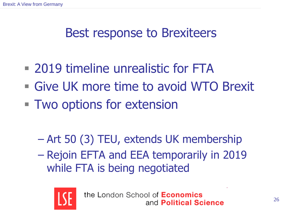#### Best response to Brexiteers

- 2019 timeline unrealistic for FTA
- Give UK more time to avoid WTO Brexit
- **Two options for extension**

– Art 50 (3) TEU, extends UK membership – Rejoin EFTA and EEA temporarily in 2019 while FTA is being negotiated

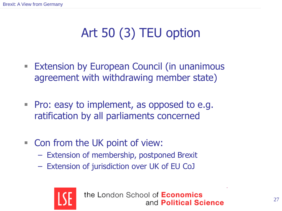# Art 50 (3) TEU option

- **Extension by European Council (in unanimous** agreement with withdrawing member state)
- Pro: easy to implement, as opposed to e.g. ratification by all parliaments concerned
- Con from the UK point of view:
	- Extension of membership, postponed Brexit
	- Extension of jurisdiction over UK of EU CoJ

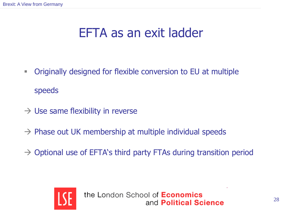## EFTA as an exit ladder

- Originally designed for flexible conversion to EU at multiple speeds
- $\rightarrow$  Use same flexibility in reverse
- $\rightarrow$  Phase out UK membership at multiple individual speeds
- $\rightarrow$  Optional use of EFTA's third party FTAs during transition period

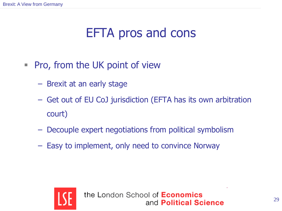## EFTA pros and cons

- **Pro, from the UK point of view** 
	- Brexit at an early stage
	- Get out of EU CoJ jurisdiction (EFTA has its own arbitration court)
	- Decouple expert negotiations from political symbolism
	- Easy to implement, only need to convince Norway

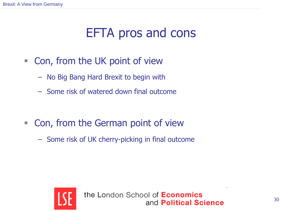## EFTA pros and cons

- Con, from the UK point of view
	- No Big Bang Hard Brexit to begin with
	- Some risk of watered down final outcome

- Con, from the German point of view
	- Some risk of UK cherry-picking in final outcome

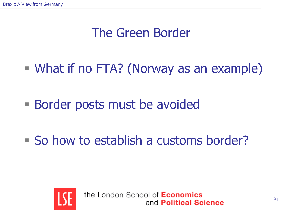## The Green Border

What if no FTA? (Norway as an example)

Border posts must be avoided

■ So how to establish a customs border?

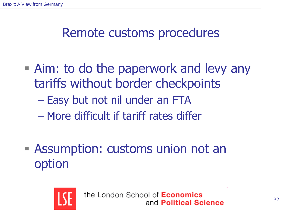## Remote customs procedures

- Aim: to do the paperwork and levy any tariffs without border checkpoints
	- Easy but not nil under an FTA
	- More difficult if tariff rates differ
- Assumption: customs union not an option

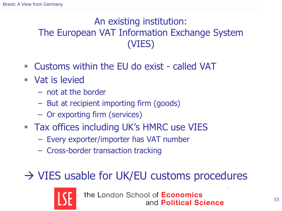#### An existing institution: The European VAT Information Exchange System (VIES)

- Customs within the EU do exist called VAT
- Vat is levied
	- not at the border
	- But at recipient importing firm (goods)
	- Or exporting firm (services)
- **Tax offices including UK's HMRC use VIES** 
	- Every exporter/importer has VAT number
	- Cross-border transaction tracking

#### $\rightarrow$  VIES usable for UK/EU customs procedures

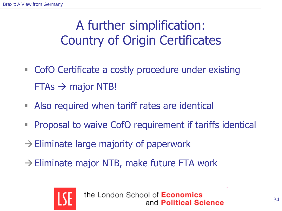# A further simplification: Country of Origin Certificates

- CofO Certificate a costly procedure under existing  $FTAs \rightarrow major NTB!$
- Also required when tariff rates are identical
- **Proposal to waive CofO requirement if tariffs identical**
- $\rightarrow$  Eliminate large majority of paperwork
- $\rightarrow$  Eliminate major NTB, make future FTA work

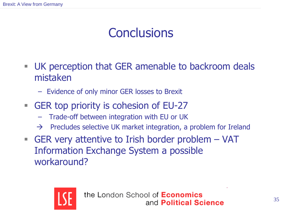## **Conclusions**

- **UK perception that GER amenable to backroom deals** mistaken
	- Evidence of only minor GER losses to Brexit
- GER top priority is cohesion of EU-27
	- Trade-off between integration with EU or UK
	- $\rightarrow$  Precludes selective UK market integration, a problem for Ireland
- GER very attentive to Irish border problem VAT Information Exchange System a possible workaround?